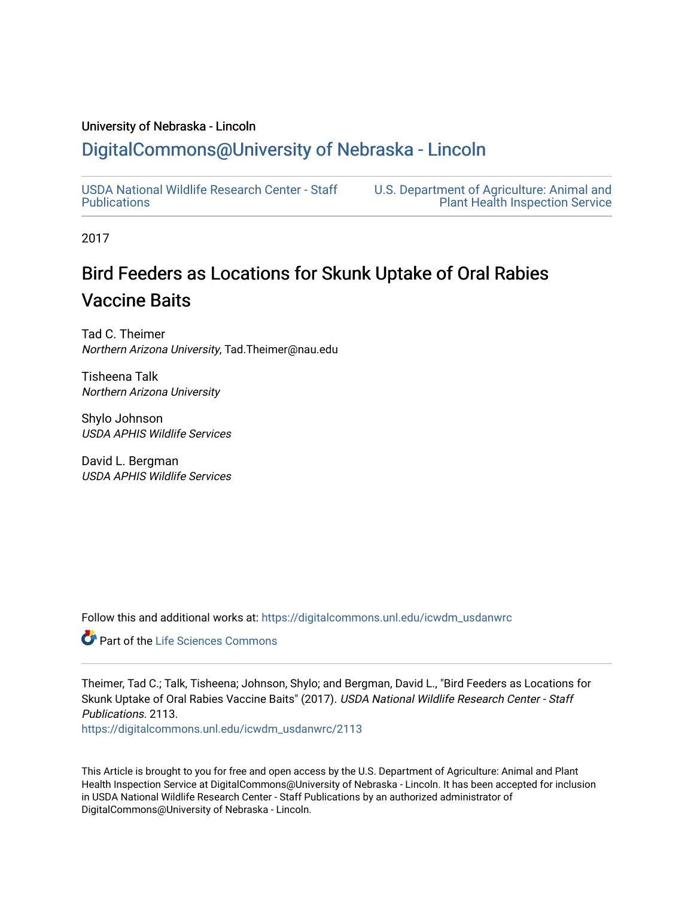### University of Nebraska - Lincoln

## [DigitalCommons@University of Nebraska - Lincoln](https://digitalcommons.unl.edu/)

[USDA National Wildlife Research Center - Staff](https://digitalcommons.unl.edu/icwdm_usdanwrc)  [Publications](https://digitalcommons.unl.edu/icwdm_usdanwrc) 

[U.S. Department of Agriculture: Animal and](https://digitalcommons.unl.edu/usdaaphis)  [Plant Health Inspection Service](https://digitalcommons.unl.edu/usdaaphis) 

2017

# Bird Feeders as Locations for Skunk Uptake of Oral Rabies Vaccine Baits

Tad C. Theimer Northern Arizona University, Tad.Theimer@nau.edu

Tisheena Talk Northern Arizona University

Shylo Johnson USDA APHIS Wildlife Services

David L. Bergman USDA APHIS Wildlife Services

Follow this and additional works at: [https://digitalcommons.unl.edu/icwdm\\_usdanwrc](https://digitalcommons.unl.edu/icwdm_usdanwrc?utm_source=digitalcommons.unl.edu%2Ficwdm_usdanwrc%2F2113&utm_medium=PDF&utm_campaign=PDFCoverPages)

Part of the [Life Sciences Commons](http://network.bepress.com/hgg/discipline/1016?utm_source=digitalcommons.unl.edu%2Ficwdm_usdanwrc%2F2113&utm_medium=PDF&utm_campaign=PDFCoverPages) 

Theimer, Tad C.; Talk, Tisheena; Johnson, Shylo; and Bergman, David L., "Bird Feeders as Locations for Skunk Uptake of Oral Rabies Vaccine Baits" (2017). USDA National Wildlife Research Center - Staff Publications. 2113.

[https://digitalcommons.unl.edu/icwdm\\_usdanwrc/2113](https://digitalcommons.unl.edu/icwdm_usdanwrc/2113?utm_source=digitalcommons.unl.edu%2Ficwdm_usdanwrc%2F2113&utm_medium=PDF&utm_campaign=PDFCoverPages) 

This Article is brought to you for free and open access by the U.S. Department of Agriculture: Animal and Plant Health Inspection Service at DigitalCommons@University of Nebraska - Lincoln. It has been accepted for inclusion in USDA National Wildlife Research Center - Staff Publications by an authorized administrator of DigitalCommons@University of Nebraska - Lincoln.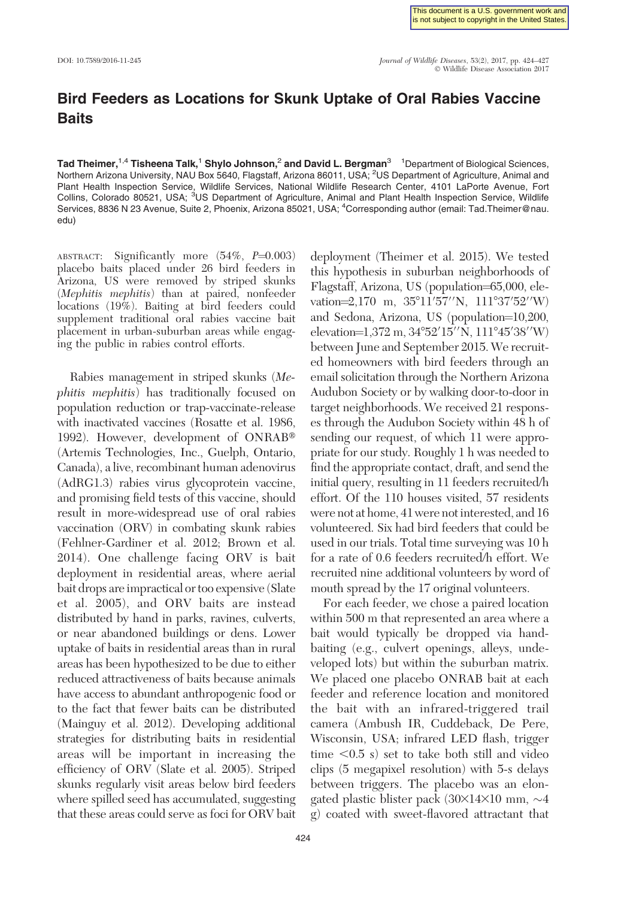## Bird Feeders as Locations for Skunk Uptake of Oral Rabies Vaccine **Baits**

Tad Theimer, $^{1,4}$  Tisheena Talk, $^1$  Shylo Johnson, $^2$  and David L. Bergman $^3$   $^{-1}$ Department of Biological Sciences, Northern Arizona University, NAU Box 5640, Flagstaff, Arizona 86011, USA; <sup>2</sup>US Department of Agriculture, Animal and Plant Health Inspection Service, Wildlife Services, National Wildlife Research Center, 4101 LaPorte Avenue, Fort Collins, Colorado 80521, USA; <sup>3</sup>US Department of Agriculture, Animal and Plant Health Inspection Service, Wildlife Services, 8836 N 23 Avenue, Suite 2, Phoenix, Arizona 85021, USA; <sup>4</sup>Corresponding author (email: Tad.Theimer@nau. edu)

ABSTRACT: Significantly more  $(54\%, P=0.003)$ placebo baits placed under 26 bird feeders in Arizona, US were removed by striped skunks (Mephitis mephitis) than at paired, nonfeeder locations (19%). Baiting at bird feeders could supplement traditional oral rabies vaccine bait placement in urban-suburban areas while engaging the public in rabies control efforts.

Rabies management in striped skunks (Mephitis mephitis) has traditionally focused on population reduction or trap-vaccinate-release with inactivated vaccines (Rosatte et al. 1986, 1992). However, development of ONRAB<sup>®</sup> (Artemis Technologies, Inc., Guelph, Ontario, Canada), a live, recombinant human adenovirus (AdRG1.3) rabies virus glycoprotein vaccine, and promising field tests of this vaccine, should result in more-widespread use of oral rabies vaccination (ORV) in combating skunk rabies (Fehlner-Gardiner et al. 2012; Brown et al. 2014). One challenge facing ORV is bait deployment in residential areas, where aerial bait drops are impractical or too expensive (Slate et al. 2005), and ORV baits are instead distributed by hand in parks, ravines, culverts, or near abandoned buildings or dens. Lower uptake of baits in residential areas than in rural areas has been hypothesized to be due to either reduced attractiveness of baits because animals have access to abundant anthropogenic food or to the fact that fewer baits can be distributed (Mainguy et al. 2012). Developing additional strategies for distributing baits in residential areas will be important in increasing the efficiency of ORV (Slate et al. 2005). Striped skunks regularly visit areas below bird feeders where spilled seed has accumulated, suggesting that these areas could serve as foci for ORV bait deployment (Theimer et al. 2015). We tested this hypothesis in suburban neighborhoods of Flagstaff, Arizona, US (population=65,000, elevation=2,170 m,  $35^{\circ}11'57''N$ ,  $111^{\circ}37'52''W$ ) and Sedona, Arizona, US (population=10,200, elevation=1,372 m, 34°52′15′′N, 111°45′38′′W) between June and September 2015. We recruited homeowners with bird feeders through an email solicitation through the Northern Arizona Audubon Society or by walking door-to-door in target neighborhoods. We received 21 responses through the Audubon Society within 48 h of sending our request, of which 11 were appropriate for our study. Roughly 1 h was needed to find the appropriate contact, draft, and send the initial query, resulting in 11 feeders recruited/h effort. Of the 110 houses visited, 57 residents were not at home, 41 were not interested, and 16 volunteered. Six had bird feeders that could be used in our trials. Total time surveying was 10 h for a rate of 0.6 feeders recruited/h effort. We recruited nine additional volunteers by word of mouth spread by the 17 original volunteers.

For each feeder, we chose a paired location within 500 m that represented an area where a bait would typically be dropped via handbaiting (e.g., culvert openings, alleys, undeveloped lots) but within the suburban matrix. We placed one placebo ONRAB bait at each feeder and reference location and monitored the bait with an infrared-triggered trail camera (Ambush IR, Cuddeback, De Pere, Wisconsin, USA; infrared LED flash, trigger time  $\leq$ 0.5 s) set to take both still and video clips (5 megapixel resolution) with 5-s delays between triggers. The placebo was an elongated plastic blister pack  $(30\times14\times10$  mm,  $\sim4$ g) coated with sweet-flavored attractant that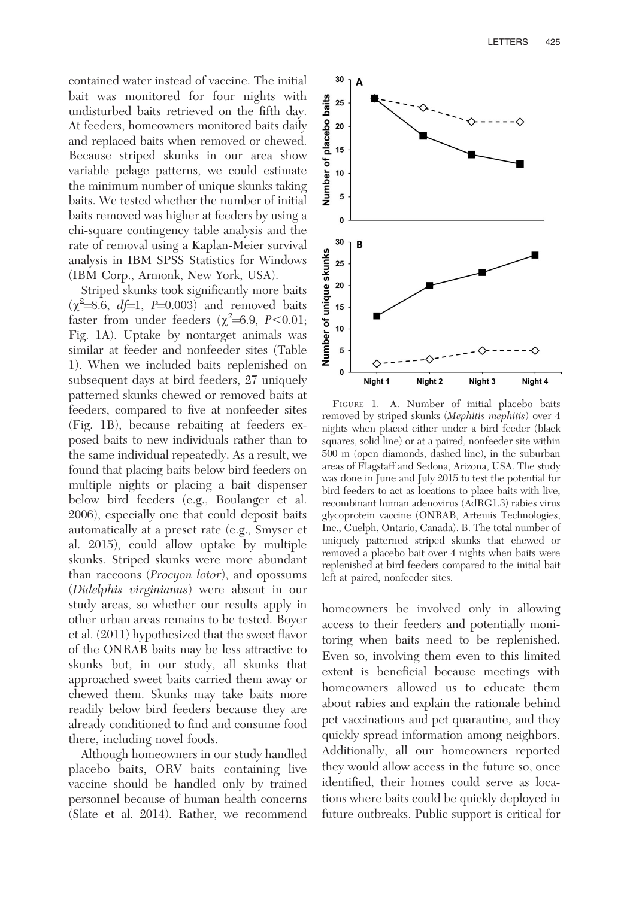contained water instead of vaccine. The initial bait was monitored for four nights with undisturbed baits retrieved on the fifth day. At feeders, homeowners monitored baits daily and replaced baits when removed or chewed. Because striped skunks in our area show variable pelage patterns, we could estimate the minimum number of unique skunks taking baits. We tested whether the number of initial baits removed was higher at feeders by using a chi-square contingency table analysis and the rate of removal using a Kaplan-Meier survival analysis in IBM SPSS Statistics for Windows (IBM Corp., Armonk, New York, USA).

Striped skunks took significantly more baits  $(\chi^2=8.6, df=1, P=0.003)$  and removed baits faster from under feeders  $(\chi^2=6.9, P<0.01;$ Fig. 1A). Uptake by nontarget animals was similar at feeder and nonfeeder sites (Table 1). When we included baits replenished on subsequent days at bird feeders, 27 uniquely patterned skunks chewed or removed baits at feeders, compared to five at nonfeeder sites (Fig. 1B), because rebaiting at feeders exposed baits to new individuals rather than to the same individual repeatedly. As a result, we found that placing baits below bird feeders on multiple nights or placing a bait dispenser below bird feeders (e.g., Boulanger et al. 2006), especially one that could deposit baits automatically at a preset rate (e.g., Smyser et al. 2015), could allow uptake by multiple skunks. Striped skunks were more abundant than raccoons (Procyon lotor), and opossums (Didelphis virginianus) were absent in our study areas, so whether our results apply in other urban areas remains to be tested. Boyer et al. (2011) hypothesized that the sweet flavor of the ONRAB baits may be less attractive to skunks but, in our study, all skunks that approached sweet baits carried them away or chewed them. Skunks may take baits more readily below bird feeders because they are already conditioned to find and consume food there, including novel foods.

Although homeowners in our study handled placebo baits, ORV baits containing live vaccine should be handled only by trained personnel because of human health concerns (Slate et al. 2014). Rather, we recommend



FIGURE 1. A. Number of initial placebo baits removed by striped skunks (Mephitis mephitis) over 4 nights when placed either under a bird feeder (black squares, solid line) or at a paired, nonfeeder site within 500 m (open diamonds, dashed line), in the suburban areas of Flagstaff and Sedona, Arizona, USA. The study was done in June and July 2015 to test the potential for bird feeders to act as locations to place baits with live, recombinant human adenovirus (AdRG1.3) rabies virus glycoprotein vaccine (ONRAB, Artemis Technologies, Inc., Guelph, Ontario, Canada). B. The total number of uniquely patterned striped skunks that chewed or removed a placebo bait over 4 nights when baits were replenished at bird feeders compared to the initial bait left at paired, nonfeeder sites.

homeowners be involved only in allowing access to their feeders and potentially monitoring when baits need to be replenished. Even so, involving them even to this limited extent is beneficial because meetings with homeowners allowed us to educate them about rabies and explain the rationale behind pet vaccinations and pet quarantine, and they quickly spread information among neighbors. Additionally, all our homeowners reported they would allow access in the future so, once identified, their homes could serve as locations where baits could be quickly deployed in future outbreaks. Public support is critical for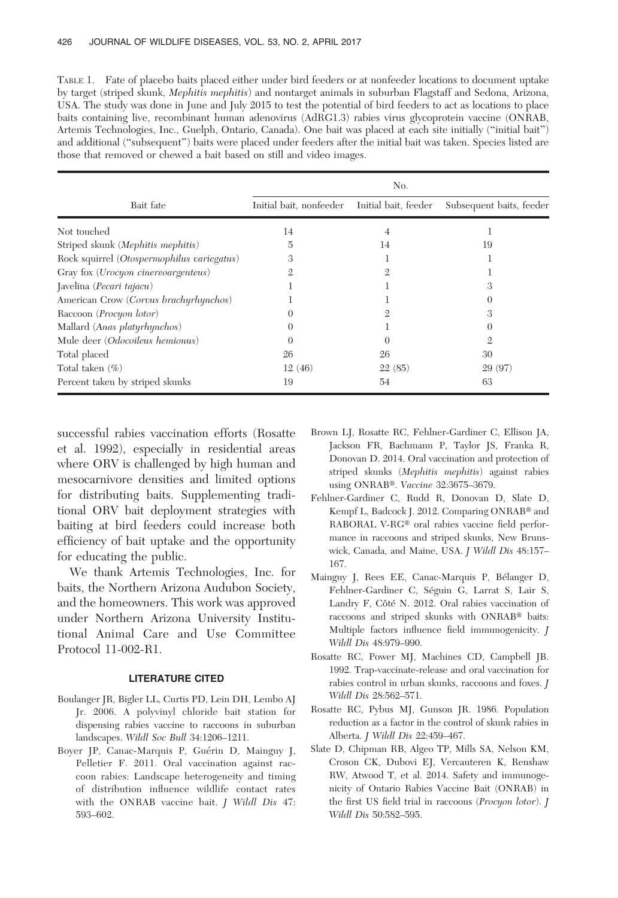TABLE 1. Fate of placebo baits placed either under bird feeders or at nonfeeder locations to document uptake by target (striped skunk, Mephitis mephitis) and nontarget animals in suburban Flagstaff and Sedona, Arizona, USA. The study was done in June and July 2015 to test the potential of bird feeders to act as locations to place baits containing live, recombinant human adenovirus (AdRG1.3) rabies virus glycoprotein vaccine (ONRAB, Artemis Technologies, Inc., Guelph, Ontario, Canada). One bait was placed at each site initially (''initial bait'') and additional (''subsequent'') baits were placed under feeders after the initial bait was taken. Species listed are those that removed or chewed a bait based on still and video images.

| Bait fate                                    | No.                     |                      |                          |
|----------------------------------------------|-------------------------|----------------------|--------------------------|
|                                              | Initial bait, nonfeeder | Initial bait, feeder | Subsequent baits, feeder |
| Not touched                                  | 14                      | 4                    |                          |
| Striped skunk (Mephitis mephitis)            | 5                       | 14                   | 19                       |
| Rock squirrel (Otospermophilus variegatus)   | 3                       |                      |                          |
| Gray fox ( <i>Urocyon cinereoargenteus</i> ) |                         | 9.                   |                          |
| Javelina (Pecari tajacu)                     |                         |                      | 3                        |
| American Crow (Corvus brachyrhynchos)        |                         |                      |                          |
| Raccoon ( <i>Procyon lotor</i> )             |                         | 9.                   |                          |
| Mallard (Anas platyrhynchos)                 |                         |                      |                          |
| Mule deer (Odocoileus hemionus)              | $\Omega$                | $\Omega$             | 9.                       |
| Total placed                                 | 26                      | 26                   | 30                       |
| Total taken $(\% )$                          | 12(46)                  | 22(85)               | 29 (97)                  |
| Percent taken by striped skunks              | 19                      | 54                   | 63                       |

successful rabies vaccination efforts (Rosatte et al. 1992), especially in residential areas where ORV is challenged by high human and mesocarnivore densities and limited options for distributing baits. Supplementing traditional ORV bait deployment strategies with baiting at bird feeders could increase both efficiency of bait uptake and the opportunity for educating the public.

We thank Artemis Technologies, Inc. for baits, the Northern Arizona Audubon Society, and the homeowners. This work was approved under Northern Arizona University Institutional Animal Care and Use Committee Protocol 11-002-R1.

#### LITERATURE CITED

- Boulanger JR, Bigler LL, Curtis PD, Lein DH, Lembo AJ Jr. 2006. A polyvinyl chloride bait station for dispensing rabies vaccine to raccoons in suburban landscapes. Wildl Soc Bull 34:1206–1211.
- Boyer JP, Canac-Marquis P, Guérin D, Mainguy J, Pelletier F. 2011. Oral vaccination against raccoon rabies: Landscape heterogeneity and timing of distribution influence wildlife contact rates with the ONRAB vaccine bait. *J Wildl Dis* 47: 593–602.
- Brown LJ, Rosatte RC, Fehlner-Gardiner C, Ellison JA, Jackson FR, Bachmann P, Taylor JS, Franka R, Donovan D. 2014. Oral vaccination and protection of striped skunks (Mephitis mephitis) against rabies using ONRAB®. Vaccine 32:3675-3679.
- Fehlner-Gardiner C, Rudd R, Donovan D, Slate D, Kempf L, Badcock J. 2012. Comparing ONRAB® and RABORAL V-RG® oral rabies vaccine field performance in raccoons and striped skunks, New Brunswick, Canada, and Maine, USA. J Wildl Dis 48:157– 167.
- Mainguy J, Rees EE, Canac-Marquis P, Bélanger D, Fehlner-Gardiner C, Séguin G, Larrat S, Lair S, Landry F, Côté N. 2012. Oral rabies vaccination of raccoons and striped skunks with ONRAB® baits: Multiple factors influence field immunogenicity. J Wildl Dis 48:979–990.
- Rosatte RC, Power MJ, Machines CD, Campbell JB. 1992. Trap-vaccinate-release and oral vaccination for rabies control in urban skunks, raccoons and foxes. J Wildl Dis 28:562–571.
- Rosatte RC, Pybus MJ, Gunson JR. 1986. Population reduction as a factor in the control of skunk rabies in Alberta. J Wildl Dis 22:459–467.
- Slate D, Chipman RB, Algeo TP, Mills SA, Nelson KM, Croson CK, Dubovi EJ, Vercauteren K, Renshaw RW, Atwood T, et al. 2014. Safety and immunogenicity of Ontario Rabies Vaccine Bait (ONRAB) in the first US field trial in raccoons (Procyon lotor). J Wildl Dis 50:582–595.